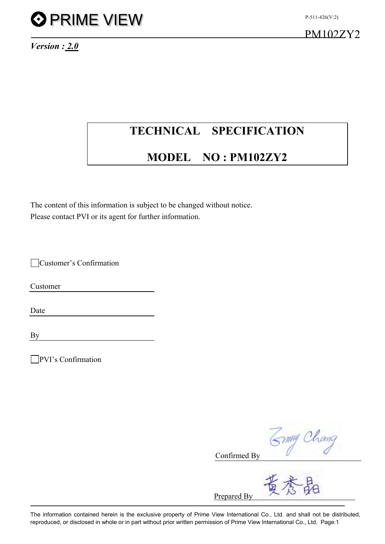

*Version : 2.0*

## **TECHNICAL SPECIFICATION**

## **MODEL NO : PM102ZY2**

The content of this information is subject to be changed without notice. Please contact PVI or its agent for further information.

Customer's Confirmation

Customer

Date

By

PVI's Confirmation

3mmy Chang

Confirmed By

Prepared By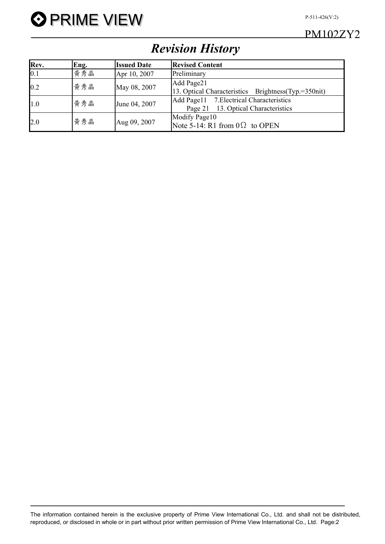

## PM102ZY2

## *Revision History*

| Rev. | Eng. | <b>Issued Date</b> | <b>Revised Content</b>                                                             |
|------|------|--------------------|------------------------------------------------------------------------------------|
| 0.1  | 黃秀晶  | Apr 10, 2007       | Preliminary                                                                        |
| 0.2  | 黄秀晶  | May 08, 2007       | Add Page21<br>13. Optical Characteristics Brightness(Typ.=350nit)                  |
| 1.0  | 黄秀晶  | June 04, 2007      | 7. Electrical Characteristics<br>Add Page11<br>Page 21 13. Optical Characteristics |
| 2.0  | 黄秀晶  | Aug 09, 2007       | Modify Page10<br>Note 5-14: R1 from $0\Omega$ to OPEN                              |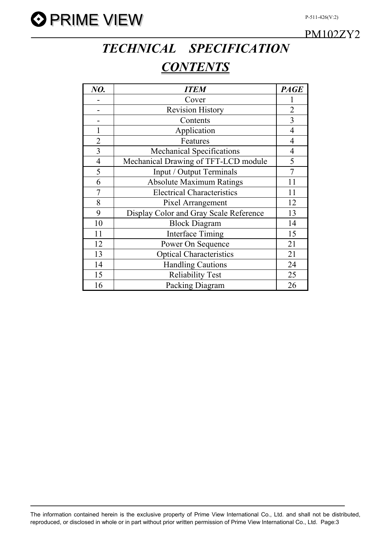



PM102ZY2

## *TECHNICAL SPECIFICATION CONTENTS*

| NO.            | <b>ITEM</b>                            | <b>PAGE</b>    |
|----------------|----------------------------------------|----------------|
|                | Cover                                  |                |
|                | <b>Revision History</b>                | $\overline{2}$ |
|                | Contents                               | $\overline{3}$ |
|                | Application                            | $\overline{4}$ |
| $\overline{2}$ | Features                               | $\overline{4}$ |
| $\overline{3}$ | <b>Mechanical Specifications</b>       | $\overline{4}$ |
| $\overline{4}$ | Mechanical Drawing of TFT-LCD module   | 5              |
| 5              | Input / Output Terminals               | $\overline{7}$ |
| 6              | <b>Absolute Maximum Ratings</b>        | 11             |
| $\overline{7}$ | <b>Electrical Characteristics</b>      | 11             |
| 8              | Pixel Arrangement                      | 12             |
| 9              | Display Color and Gray Scale Reference | 13             |
| 10             | <b>Block Diagram</b>                   | 14             |
| 11             | <b>Interface Timing</b>                | 15             |
| 12             | Power On Sequence                      | 21             |
| 13             | <b>Optical Characteristics</b>         | 21             |
| 14             | <b>Handling Cautions</b>               | 24             |
| 15             | <b>Reliability Test</b>                | 25             |
| 16             | Packing Diagram                        | 26             |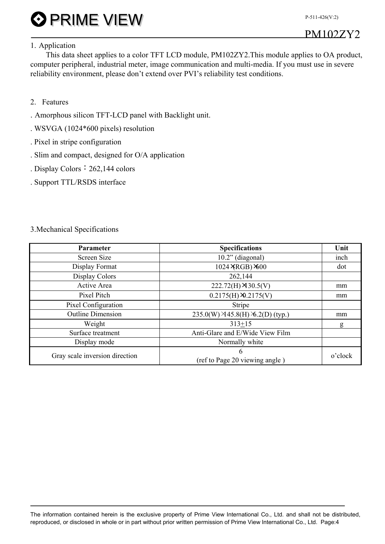P-511-426(V:2)

#### 1. Application

This data sheet applies to a color TFT LCD module, PM102ZY2.This module applies to OA product, computer peripheral, industrial meter, image communication and multi-media. If you must use in severe reliability environment, please don't extend over PVI's reliability test conditions.

- 2. Features
- . Amorphous silicon TFT-LCD panel with Backlight unit.
- . WSVGA (1024\*600 pixels) resolution
- . Pixel in stripe configuration
- . Slim and compact, designed for O/A application
- . Display Colors: 262,144 colors
- . Support TTL/RSDS interface

#### 3.Mechanical Specifications

| <b>Parameter</b>               | <b>Specifications</b>               | Unit    |
|--------------------------------|-------------------------------------|---------|
| Screen Size                    | $10.2$ " (diagonal)                 | inch    |
| Display Format                 | 1024 XRGB) ×600                     | dot     |
| Display Colors                 | 262,144                             |         |
| Active Area                    | $222.72(H)$ × 30.5(V)               | mm      |
| Pixel Pitch                    | $0.2175(H) \times 2175(V)$          | mm      |
| Pixel Configuration            | Stripe                              |         |
| <b>Outline Dimension</b>       | 235.0(W) × 45.8(H) × 6.2(D) (typ.)  | mm      |
| Weight                         | $313 + 15$                          | g       |
| Surface treatment              | Anti-Glare and E/Wide View Film     |         |
| Display mode                   | Normally white                      |         |
| Gray scale inversion direction | 6<br>(ref to Page 20 viewing angle) | o'clock |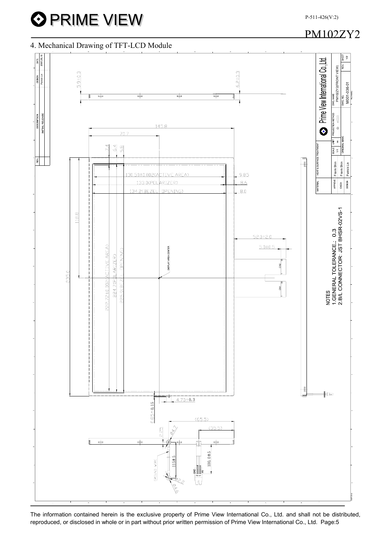## PM102ZY2

### 4. Mechanical Drawing of TFT-LCD Module



The information contained herein is the exclusive property of Prime View International Co., Ltd. and shall not be distributed, reproduced, or disclosed in whole or in part without prior written permission of Prime View International Co., Ltd. Page:5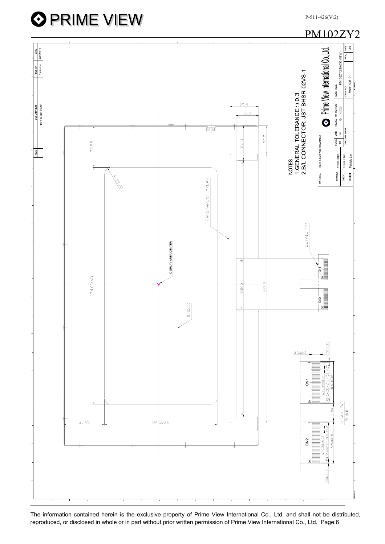

The information contained herein is the exclusive property of Prime View International Co., Ltd. and shall not be distributed, reproduced, or disclosed in whole or in part without prior written permission of Prime View International Co., Ltd. Page:6

P-511-426(V:2)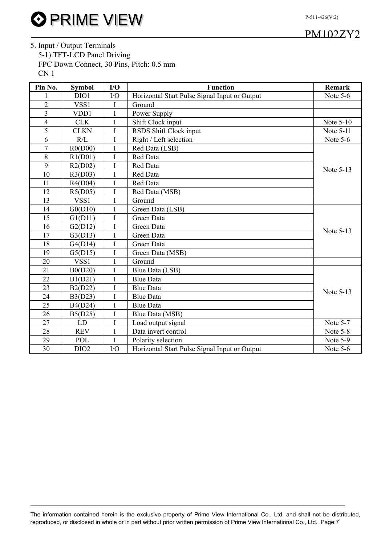P-511-426(V:2)

### PM102ZY2

5. Input / Output Terminals 5-1) TFT-LCD Panel Driving FPC Down Connect, 30 Pins, Pitch: 0.5 mm CN 1

| Pin No.                  | <b>Symbol</b>    | $IO$           | <b>Function</b>                               | <b>Remark</b> |
|--------------------------|------------------|----------------|-----------------------------------------------|---------------|
|                          | DIO1             | I/O            | Horizontal Start Pulse Signal Input or Output | Note $5-6$    |
| $\overline{2}$           | VSS1             | I              | Ground                                        |               |
| 3                        | VDD1             | I              | Power Supply                                  |               |
| $\overline{\mathcal{L}}$ | <b>CLK</b>       | I              | Shift Clock input                             | Note 5-10     |
| 5                        | <b>CLKN</b>      | I              | RSDS Shift Clock input                        | Note 5-11     |
| 6                        | R/L              | I              | Right / Left selection                        | Note 5-6      |
| $\overline{7}$           | R0(D00)          | I              | Red Data (LSB)                                |               |
| 8                        | R1(D01)          | $\overline{I}$ | Red Data                                      |               |
| 9                        | R2(D02)          | I              | Red Data                                      | Note 5-13     |
| 10                       | R3(D03)          | I              | Red Data                                      |               |
| 11                       | R4(D04)          | I              | Red Data                                      |               |
| 12                       | R5(D05)          | I              | Red Data (MSB)                                |               |
| 13                       | VSS1             | I              | Ground                                        |               |
| 14                       | G(0 D10)         | I              | Green Data (LSB)                              |               |
| 15                       | G1(D11)          | I              | Green Data                                    |               |
| 16                       | G2(D12)          | $\mathbf I$    | Green Data                                    | Note 5-13     |
| 17                       | G3(D13)          | I              | Green Data                                    |               |
| 18                       | G4(D14)          | I              | Green Data                                    |               |
| 19                       | G5(D15)          | I              | Green Data (MSB)                              |               |
| 20                       | VSS1             | I              | Ground                                        |               |
| 21                       | $B($ $D20)$      | I              | Blue Data (LSB)                               |               |
| 22                       | B1(D21)          | $\overline{I}$ | <b>Blue Data</b>                              |               |
| 23                       | B2(D22)          | I              | <b>Blue Data</b>                              | Note 5-13     |
| 24                       | B3(D23)          | I              | <b>Blue Data</b>                              |               |
| 25                       | B4(D24)          | I              | <b>Blue Data</b>                              |               |
| 26                       | B5(D25)          | I              | Blue Data (MSB)                               |               |
| 27                       | LD               | $\mathbf I$    | Load output signal                            | Note 5-7      |
| 28                       | <b>REV</b>       | I              | Data invert control                           | Note 5-8      |
| 29                       | <b>POL</b>       | I              | Polarity selection                            | Note 5-9      |
| 30                       | DIO <sub>2</sub> | I/O            | Horizontal Start Pulse Signal Input or Output | Note 5-6      |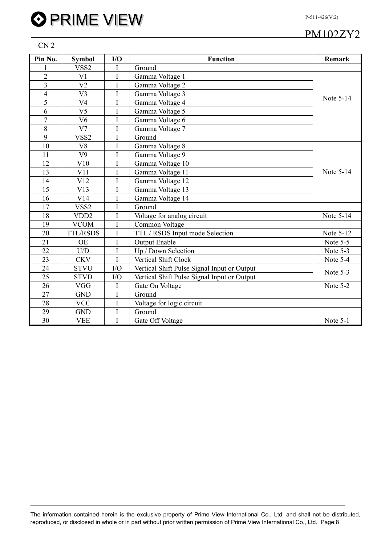CN 2

| Pin No.         | <b>Symbol</b>    | I/O            | <b>Function</b>                             | <b>Remark</b>    |
|-----------------|------------------|----------------|---------------------------------------------|------------------|
|                 | VSS <sub>2</sub> | I              | Ground                                      |                  |
| $\overline{2}$  | V <sub>1</sub>   | $\overline{I}$ | Gamma Voltage 1                             |                  |
| $\overline{3}$  | V <sub>2</sub>   | I              | Gamma Voltage 2                             |                  |
| $\overline{4}$  | V <sub>3</sub>   | I              | Gamma Voltage 3                             | Note 5-14        |
| 5               | V <sub>4</sub>   | I              | Gamma Voltage 4                             |                  |
| 6               | V <sub>5</sub>   | I              | Gamma Voltage 5                             |                  |
| $\overline{7}$  | V <sub>6</sub>   | I              | Gamma Voltage 6                             |                  |
| 8               | V <sub>7</sub>   | I              | Gamma Voltage 7                             |                  |
| 9               | VSS <sub>2</sub> | I              | Ground                                      |                  |
| 10              | V <sub>8</sub>   | I              | Gamma Voltage 8                             |                  |
| 11              | V <sub>9</sub>   | I              | Gamma Voltage 9                             |                  |
| 12              | V10              | I              | Gamma Voltage 10                            |                  |
| 13              | V11              | I              | Gamma Voltage 11                            | Note 5-14        |
| 14              | V12              | I              | Gamma Voltage 12                            |                  |
| 15              | V13              | I              | Gamma Voltage 13                            |                  |
| 16              | V14              | I              | Gamma Voltage 14                            |                  |
| 17              | VSS2             | I              | Ground                                      |                  |
| 18              | VDD <sub>2</sub> | I              | Voltage for analog circuit                  | Note 5-14        |
| 19              | <b>VCOM</b>      | I              | Common Voltage                              |                  |
| 20              | <b>TTL/RSDS</b>  | I              | TTL / RSDS Input mode Selection             | <b>Note 5-12</b> |
| 21              | <b>OE</b>        | I              | <b>Output Enable</b>                        | Note 5-5         |
| 22              | U/D              | I              | Up / Down Selection                         | Note 5-3         |
| 23              | <b>CKV</b>       | I              | Vertical Shift Clock                        | Note 5-4         |
| 24              | <b>STVU</b>      | I/O            | Vertical Shift Pulse Signal Input or Output | Note 5-3         |
| 25              | <b>STVD</b>      | I/O            | Vertical Shift Pulse Signal Input or Output |                  |
| 26              | <b>VGG</b>       | $\mathbf I$    | Gate On Voltage                             | Note 5-2         |
| 27              | <b>GND</b>       | I              | Ground                                      |                  |
| 28              | <b>VCC</b>       | I              | Voltage for logic circuit                   |                  |
| 29              | <b>GND</b>       | I              | Ground                                      |                  |
| $\overline{30}$ | <b>VEE</b>       | I              | Gate Off Voltage                            | Note 5-1         |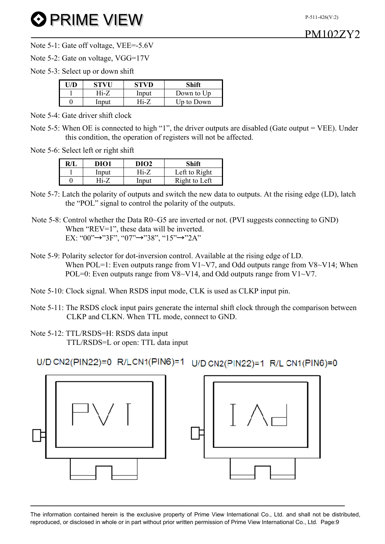Note 5-1: Gate off voltage, VEE=-5.6V

Note 5-2: Gate on voltage, VGG=17V

Note 5-3: Select up or down shift

| <b>STVU</b> | STVD  |            |
|-------------|-------|------------|
| Hi-7        | Input | Down to Up |
| Input       |       | Up to Down |

Note 5-4: Gate driver shift clock

Note 5-5: When OE is connected to high "1", the driver outputs are disabled (Gate output = VEE). Under this condition, the operation of registers will not be affected.

Note 5-6: Select left or right shift

| R/I | DIO1  | DIO2  | Shift         |
|-----|-------|-------|---------------|
|     | Input | 4i-Z  | Left to Right |
|     | Ti-7  | Input | Right to Left |

- Note 5-7: Latch the polarity of outputs and switch the new data to outputs. At the rising edge (LD), latch the "POL" signal to control the polarity of the outputs.
- Note 5-8: Control whether the Data R0~G5 are inverted or not. (PVI suggests connecting to GND) When "REV=1", these data will be inverted. EX: "00"→"3F", "07"→"38", "15"→"2A"
- Note 5-9: Polarity selector for dot-inversion control. Available at the rising edge of LD. When POL=1: Even outputs range from  $V1-V7$ , and Odd outputs range from  $V8-V14$ ; When POL=0: Even outputs range from  $V8 \sim V14$ , and Odd outputs range from  $V1 \sim V7$ .
- Note 5-10: Clock signal. When RSDS input mode, CLK is used as CLKP input pin.
- Note 5-11: The RSDS clock input pairs generate the internal shift clock through the comparison between CLKP and CLKN. When TTL mode, connect to GND.

Note 5-12: TTL/RSDS=H: RSDS data input TTL/RSDS=L or open: TTL data input

U/D CN2(PIN22)=0 R/LCN1(PIN6)=1 U/D CN2(PIN22)=1 R/L CN1(PIN6)=0



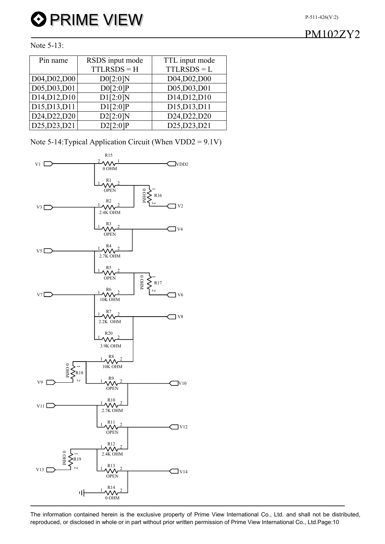#### P-511-426(V:2)

#### Note 5-13:

| Pin name      | RSDS input mode | TTL input mode |
|---------------|-----------------|----------------|
|               | $TTLRSDS = H$   | $TTLRSDS = L$  |
| D04, D02, D00 | D0[2:0]N        | D04, D02, D00  |
| D05, D03, D01 | D0[2:0]P        | D05,D03,D01    |
| D14, D12, D10 | D1[2:0]N        | D14, D12, D10  |
| D15, D13, D11 | D1[2:0]P        | D15, D13, D11  |
| D24, D22, D20 | D2[2:0]N        | D24, D22, D20  |
| D25, D23, D21 | D2[2:0]P        | D25, D23, D21  |

Note 5-14:Typical Application Circuit (When VDD2 = 9.1V)

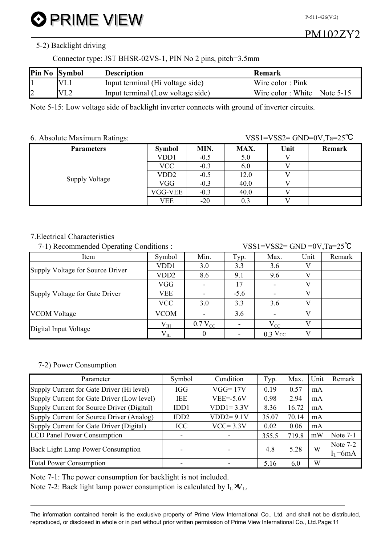P-511-426(V:2)

#### 5-2) Backlight driving

Connector type: JST BHSR-02VS-1, PIN No 2 pins, pitch=3.5mm

| Pin No Symbol          | <b>Description</b>                | Remark                      |
|------------------------|-----------------------------------|-----------------------------|
| <b>VL</b> <sub>1</sub> | Input terminal (Hi voltage side)  | Wire color: Pink            |
| VL2                    | Input terminal (Low voltage side) | Wire color: White Note 5-15 |

Note 5-15: Low voltage side of backlight inverter connects with ground of inverter circuits.

6. Absolute Maximum Ratings: VSS1=VSS2= GND=0V,Ta=25<sup>°</sup>C

| <b>Parameters</b> | <b>Symbol</b>     | MIN.   | MAX. | Unit | Remark |
|-------------------|-------------------|--------|------|------|--------|
|                   | VD <sub>D</sub> 1 | $-0.5$ | 5.0  |      |        |
|                   | VCC               | $-0.3$ | 6.0  |      |        |
|                   | VD <sub>D</sub> 2 | $-0.5$ | 12.0 |      |        |
| Supply Voltage    | VGG               | $-0.3$ | 40.0 |      |        |
|                   | VGG-VEE           | $-0.3$ | 40.0 |      |        |
|                   | VEE               | $-20$  | 0.3  |      |        |

#### 7.Electrical Characteristics

7-1) Recommended Operating Conditions  $VSS1=VSS2=GND=0V$  Ta=25<sup>°</sup>C

| ----- - p ------------ --------- |                  |              |        |           |      |        |
|----------------------------------|------------------|--------------|--------|-----------|------|--------|
| Item                             | Symbol           | Min.         | Typ.   | Max.      | Unit | Remark |
| Supply Voltage for Source Driver | VDD1             | 3.0          | 3.3    | 3.6       |      |        |
|                                  | VDD <sub>2</sub> | 8.6          | 9.1    | 9.6       |      |        |
|                                  | VGG              |              | 17     |           | 17   |        |
| Supply Voltage for Gate Driver   | VEE              |              | $-5.6$ |           |      |        |
|                                  | <b>VCC</b>       | 3.0          | 3.3    | 3.6       |      |        |
| <b>VCOM Voltage</b>              | <b>VCOM</b>      |              | 3.6    |           | 17   |        |
|                                  | $V_{IH}$         | $0.7 V_{CC}$ |        | $V_{CC}$  |      |        |
| Digital Input Voltage            | $V_{IL}$         |              |        | $0.3$ Vcc |      |        |

#### 7-2) Power Consumption

| Parameter                                  | Symbol                   | Condition     | Typ.  | Max.  | Unit | Remark      |
|--------------------------------------------|--------------------------|---------------|-------|-------|------|-------------|
| Supply Current for Gate Driver (Hi level)  | <b>IGG</b>               | $VGG=17V$     | 0.19  | 0.57  | mA   |             |
| Supply Current for Gate Driver (Low level) | <b>IEE</b>               | $VEE = -5.6V$ | 0.98  | 2.94  | mA   |             |
| Supply Current for Source Driver (Digital) | IDD1                     | $VDD1=3.3V$   | 8.36  | 16.72 | mA   |             |
| Supply Current for Source Driver (Analog)  | IDD <sub>2</sub>         | $VDD2=9.1V$   | 35.07 | 70.14 | mA   |             |
| Supply Current for Gate Driver (Digital)   | ICC                      | $VCC = 3.3V$  | 0.02  | 0.06  | mA   |             |
| <b>LCD Panel Power Consumption</b>         | ۰                        |               | 355.5 | 719.8 | mW   | Note $7-1$  |
|                                            |                          |               |       | 5.28  | W    | Note $7-2$  |
| <b>Back Light Lamp Power Consumption</b>   | $\overline{\phantom{0}}$ |               | 4.8   |       |      | $I_I = 6mA$ |
| <b>Total Power Consumption</b>             | -                        |               | 5.16  | 6.0   | W    |             |

Note 7-1: The power consumption for backlight is not included.

Note 7-2: Back light lamp power consumption is calculated by  $I_L \mathbf{W}_L$ .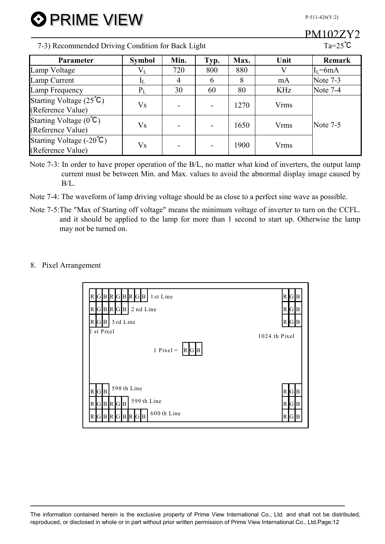P-511-426(V:2)

## PM102ZY2

7-3) Recommended Driving Condition for Back Light Ta=25<sup>°</sup>C

**3 PRIME VIEW** 

| <b>Parameter</b>                                              | <b>Symbol</b> | Min. | Typ.          | Max. | Unit                   | <b>Remark</b>   |
|---------------------------------------------------------------|---------------|------|---------------|------|------------------------|-----------------|
| Lamp Voltage                                                  | $\rm V_L$     | 720  | 800           | 880  |                        | $I_{I} = 6mA$   |
| Lamp Current                                                  | IL.           | 4    | $\mathfrak b$ | 8    | mA                     | Note 7-3        |
| Lamp Frequency                                                | $P_L$         | 30   | 60            | 80   | <b>KHz</b>             | Note $7-4$      |
| Starting Voltage $(25^{\circ}\text{C})$<br>(Reference Value)  | Vs            |      |               | 1270 | Vrms                   |                 |
| Starting Voltage $(0^{\circ}C)$<br>(Reference Value)          | Vs            |      |               | 1650 | <b>Vrms</b>            | <b>Note 7-5</b> |
| Starting Voltage $(-20^{\circ}\text{C})$<br>(Reference Value) | Vs            |      |               | 1900 | <b>V<sub>rms</sub></b> |                 |

- Note 7-3: In order to have proper operation of the B/L, no matter what kind of inverters, the output lamp current must be between Min. and Max. values to avoid the abnormal display image caused by B/L.
- Note 7-4: The waveform of lamp driving voltage should be as close to a perfect sine wave as possible.
- Note 7-5:The "Max of Starting off voltage" means the minimum voltage of inverter to turn on the CCFL. and it should be applied to the lamp for more than 1 second to start up. Otherwise the lamp may not be turned on.

#### 8. Pixel Arrangement

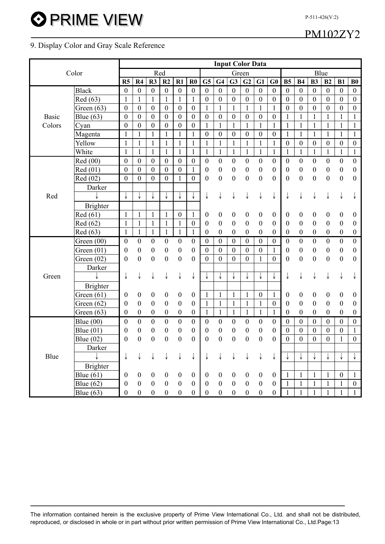## PM102ZY2

P-511-426(V:2)

#### 9. Display Color and Gray Scale Reference

|              |                 | <b>Input Color Data</b> |                  |                  |                  |                  |                  |                  |                  |                  |                  |                  |                  |                  |                  |                  |                  |                  |                  |
|--------------|-----------------|-------------------------|------------------|------------------|------------------|------------------|------------------|------------------|------------------|------------------|------------------|------------------|------------------|------------------|------------------|------------------|------------------|------------------|------------------|
|              | Color           |                         |                  |                  | Red              |                  |                  | Green            |                  |                  |                  |                  |                  | Blue             |                  |                  |                  |                  |                  |
|              |                 | R5                      | R4               | R3               | R <sub>2</sub>   | R1               | $\bf R0$         | G5               | G4               | G3               | G <sub>2</sub>   | G1               | G0               | B <sub>5</sub>   | <b>B4</b>        | <b>B3</b>        | B2               | B1               | B <sub>0</sub>   |
|              | <b>Black</b>    | $\mathbf{0}$            | $\boldsymbol{0}$ | $\boldsymbol{0}$ | $\boldsymbol{0}$ | $\boldsymbol{0}$ | $\boldsymbol{0}$ | $\boldsymbol{0}$ | $\boldsymbol{0}$ | $\boldsymbol{0}$ | $\boldsymbol{0}$ | $\boldsymbol{0}$ | $\boldsymbol{0}$ | $\boldsymbol{0}$ | $\mathbf{0}$     | $\overline{0}$   | $\boldsymbol{0}$ | $\boldsymbol{0}$ | $\mathbf{0}$     |
|              | Red (63)        | $\mathbf{1}$            | $\mathbf{1}$     | $\mathbf{1}$     | $\mathbf{1}$     | $\mathbf{1}$     | $\mathbf{1}$     | $\mathbf{0}$     | $\mathbf{0}$     | $\boldsymbol{0}$ | $\mathbf{0}$     | $\boldsymbol{0}$ | $\boldsymbol{0}$ | $\boldsymbol{0}$ | $\boldsymbol{0}$ | $\boldsymbol{0}$ | $\boldsymbol{0}$ | $\boldsymbol{0}$ | $\boldsymbol{0}$ |
|              | Green $(63)$    | $\boldsymbol{0}$        | $\boldsymbol{0}$ | $\boldsymbol{0}$ | $\mathbf{0}$     | $\boldsymbol{0}$ | $\boldsymbol{0}$ | $\mathbf{1}$     | $\mathbf{1}$     | $\mathbf{1}$     | $\mathbf{1}$     | $\mathbf{1}$     | $\mathbf{1}$     | $\boldsymbol{0}$ | $\boldsymbol{0}$ | $\boldsymbol{0}$ | $\boldsymbol{0}$ | $\boldsymbol{0}$ | $\boldsymbol{0}$ |
| <b>Basic</b> | Blue (63)       | $\boldsymbol{0}$        | $\boldsymbol{0}$ | $\boldsymbol{0}$ | $\mathbf{0}$     | $\boldsymbol{0}$ | $\boldsymbol{0}$ | $\boldsymbol{0}$ | $\boldsymbol{0}$ | $\boldsymbol{0}$ | $\boldsymbol{0}$ | $\boldsymbol{0}$ | $\boldsymbol{0}$ | $\mathbf{1}$     | $\mathbf{1}$     | $\mathbf{1}$     | 1                | $\mathbf{1}$     | $\mathbf{1}$     |
| Colors       | Cyan            | $\overline{0}$          | $\boldsymbol{0}$ | $\boldsymbol{0}$ | $\boldsymbol{0}$ | $\boldsymbol{0}$ | $\boldsymbol{0}$ | $\mathbf{1}$     | $\mathbf{1}$     | $\mathbf{1}$     | $\mathbf{1}$     | $\mathbf{1}$     | $\mathbf{1}$     | $\mathbf{1}$     | $\mathbf{1}$     | $\mathbf{1}$     | $\mathbf{1}$     | $\mathbf{1}$     | $\mathbf{1}$     |
|              | Magenta         | $\mathbf{1}$            | $\mathbf{1}$     | $\mathbf{1}$     | $\mathbf{1}$     | $\mathbf{1}$     | $\mathbf{1}$     | $\boldsymbol{0}$ | $\boldsymbol{0}$ | $\boldsymbol{0}$ | $\boldsymbol{0}$ | $\boldsymbol{0}$ | $\boldsymbol{0}$ | $\mathbf{1}$     | $\mathbf{1}$     | $\mathbf{1}$     | $\mathbf{1}$     | $\mathbf{1}$     | $\mathbf{1}$     |
|              | Yellow          |                         | $\mathbf{1}$     | $\mathbf{1}$     | $\mathbf{1}$     | $\mathbf{1}$     | $\mathbf{1}$     |                  |                  | 1                | $\mathbf{1}$     | 1                | $\mathbf{1}$     | $\mathbf{0}$     | $\boldsymbol{0}$ | $\boldsymbol{0}$ | $\boldsymbol{0}$ | $\boldsymbol{0}$ | $\boldsymbol{0}$ |
|              | White           | 1                       | 1                | 1                | $\mathbf{1}$     | $\mathbf{1}$     | $\mathbf{1}$     | $\mathbf{1}$     | $\mathbf{1}$     | $\mathbf{1}$     | $\mathbf{1}$     | $\mathbf{1}$     | $\mathbf{1}$     | $\mathbf{1}$     | $\mathbf{1}$     | $\mathbf{1}$     | $\mathbf{1}$     | $\mathbf{1}$     | $\mathbf{1}$     |
|              | Red (00)        | $\overline{0}$          | $\boldsymbol{0}$ | $\boldsymbol{0}$ | $\boldsymbol{0}$ | $\boldsymbol{0}$ | $\boldsymbol{0}$ | $\boldsymbol{0}$ | $\boldsymbol{0}$ | $\boldsymbol{0}$ | $\boldsymbol{0}$ | $\boldsymbol{0}$ | $\boldsymbol{0}$ | $\boldsymbol{0}$ | $\boldsymbol{0}$ | $\boldsymbol{0}$ | $\boldsymbol{0}$ | $\boldsymbol{0}$ | $\boldsymbol{0}$ |
|              | Red (01)        | $\boldsymbol{0}$        | $\boldsymbol{0}$ | $\boldsymbol{0}$ | $\mathbf{0}$     | $\boldsymbol{0}$ | $\mathbf{1}$     | $\boldsymbol{0}$ | $\boldsymbol{0}$ | $\boldsymbol{0}$ | $\boldsymbol{0}$ | $\boldsymbol{0}$ | $\boldsymbol{0}$ | $\boldsymbol{0}$ | $\boldsymbol{0}$ | $\boldsymbol{0}$ | $\boldsymbol{0}$ | $\boldsymbol{0}$ | $\boldsymbol{0}$ |
|              | Red (02)        | $\mathbf{0}$            | $\mathbf{0}$     | $\boldsymbol{0}$ | $\overline{0}$   | $\mathbf{1}$     | $\overline{0}$   | $\boldsymbol{0}$ | $\boldsymbol{0}$ | $\boldsymbol{0}$ | $\boldsymbol{0}$ | $\boldsymbol{0}$ | $\mathbf{0}$     | $\boldsymbol{0}$ | $\boldsymbol{0}$ | $\boldsymbol{0}$ | $\boldsymbol{0}$ | $\boldsymbol{0}$ | $\mathbf{0}$     |
|              | Darker          |                         |                  |                  |                  |                  |                  |                  |                  |                  |                  |                  |                  |                  |                  |                  |                  |                  |                  |
| Red          |                 |                         |                  |                  |                  | ↓                | ↓                | ↓                |                  |                  |                  |                  |                  |                  |                  |                  |                  |                  |                  |
|              | <b>Brighter</b> |                         |                  |                  |                  |                  |                  |                  |                  |                  |                  |                  |                  |                  |                  |                  |                  |                  |                  |
|              | Red (61)        | 1                       | 1                | 1                | $\mathbf{1}$     | $\boldsymbol{0}$ | $\mathbf{1}$     | $\boldsymbol{0}$ | 0                | $\boldsymbol{0}$ | $\boldsymbol{0}$ | $\boldsymbol{0}$ | $\boldsymbol{0}$ | 0                | 0                | $\boldsymbol{0}$ | $\boldsymbol{0}$ | $\boldsymbol{0}$ | $\boldsymbol{0}$ |
|              | Red (62)        | $\mathbf{1}$            | $\mathbf{1}$     | $\mathbf{1}$     | $\mathbf{1}$     | $\mathbf{1}$     | $\boldsymbol{0}$ | 0                | $\boldsymbol{0}$ | $\boldsymbol{0}$ | $\boldsymbol{0}$ | $\boldsymbol{0}$ | $\boldsymbol{0}$ | $\boldsymbol{0}$ | $\boldsymbol{0}$ | $\boldsymbol{0}$ | $\boldsymbol{0}$ | $\boldsymbol{0}$ | $\boldsymbol{0}$ |
|              | Red (63)        | $\mathbf{1}$            | $\mathbf{1}$     | $\mathbf{1}$     | $\mathbf{1}$     | $\mathbf{1}$     | $\mathbf{1}$     | $\boldsymbol{0}$ | $\boldsymbol{0}$ | $\boldsymbol{0}$ | $\boldsymbol{0}$ | $\boldsymbol{0}$ | $\boldsymbol{0}$ | $\boldsymbol{0}$ | $\boldsymbol{0}$ | $\boldsymbol{0}$ | $\boldsymbol{0}$ | $\boldsymbol{0}$ | $\boldsymbol{0}$ |
|              | Green (00)      | $\boldsymbol{0}$        | $\boldsymbol{0}$ | $\boldsymbol{0}$ | $\boldsymbol{0}$ | $\boldsymbol{0}$ | $\boldsymbol{0}$ | $\boldsymbol{0}$ | $\boldsymbol{0}$ | $\boldsymbol{0}$ | $\boldsymbol{0}$ | $\boldsymbol{0}$ | $\boldsymbol{0}$ | $\boldsymbol{0}$ | $\boldsymbol{0}$ | $\boldsymbol{0}$ | $\boldsymbol{0}$ | $\boldsymbol{0}$ | $\boldsymbol{0}$ |
|              | Green $(01)$    | $\boldsymbol{0}$        | $\boldsymbol{0}$ | $\boldsymbol{0}$ | $\boldsymbol{0}$ | $\boldsymbol{0}$ | $\boldsymbol{0}$ | $\boldsymbol{0}$ | $\boldsymbol{0}$ | $\boldsymbol{0}$ | $\boldsymbol{0}$ | $\boldsymbol{0}$ | 1                | $\boldsymbol{0}$ | $\boldsymbol{0}$ | $\boldsymbol{0}$ | $\boldsymbol{0}$ | $\boldsymbol{0}$ | $\boldsymbol{0}$ |
|              | Green $(02)$    | $\boldsymbol{0}$        | $\boldsymbol{0}$ | $\boldsymbol{0}$ | $\boldsymbol{0}$ | $\boldsymbol{0}$ | $\boldsymbol{0}$ | $\boldsymbol{0}$ | $\boldsymbol{0}$ | $\boldsymbol{0}$ | $\mathbf{0}$     | $\mathbf{1}$     | $\boldsymbol{0}$ | $\boldsymbol{0}$ | $\overline{0}$   | $\boldsymbol{0}$ | $\boldsymbol{0}$ | $\boldsymbol{0}$ | $\boldsymbol{0}$ |
|              | Darker          |                         |                  |                  |                  |                  |                  |                  |                  |                  |                  |                  |                  |                  |                  |                  |                  |                  |                  |
| Green        |                 |                         | ↓                | ↓                | ↓                | ↓                | ↓                |                  | ↓                | ↓                |                  |                  |                  | ↓                | ↓                | ↓                |                  |                  |                  |
|              | <b>Brighter</b> |                         |                  |                  |                  |                  |                  |                  |                  |                  |                  |                  |                  |                  |                  |                  |                  |                  |                  |
|              | Green $(61)$    | $\boldsymbol{0}$        | $\boldsymbol{0}$ | $\boldsymbol{0}$ | $\boldsymbol{0}$ | $\boldsymbol{0}$ | $\boldsymbol{0}$ | $\mathbf{1}$     | $\mathbf{1}$     | 1                | $\mathbf{1}$     | $\boldsymbol{0}$ | $\mathbf{1}$     | $\boldsymbol{0}$ | 0                | $\boldsymbol{0}$ | $\boldsymbol{0}$ | $\boldsymbol{0}$ | $\mathbf{0}$     |
|              | Green $(62)$    | $\theta$                | $\boldsymbol{0}$ | $\boldsymbol{0}$ | $\boldsymbol{0}$ | $\boldsymbol{0}$ | $\boldsymbol{0}$ | $\mathbf{1}$     | $\mathbf{1}$     | 1                | 1                | 1                | $\boldsymbol{0}$ | $\boldsymbol{0}$ | $\boldsymbol{0}$ | $\boldsymbol{0}$ | $\boldsymbol{0}$ | $\boldsymbol{0}$ | $\boldsymbol{0}$ |
|              | Green $(63)$    | $\mathbf{0}$            | $\boldsymbol{0}$ | $\boldsymbol{0}$ | $\boldsymbol{0}$ | $\boldsymbol{0}$ | $\boldsymbol{0}$ | $\mathbf{1}$     | $\mathbf{1}$     | $\mathbf{1}$     | $\mathbf{1}$     | $\mathbf{1}$     | $\mathbf{1}$     | $\boldsymbol{0}$ | $\boldsymbol{0}$ | $\boldsymbol{0}$ | $\boldsymbol{0}$ | $\boldsymbol{0}$ | $\boldsymbol{0}$ |
|              | Blue $(00)$     | $\mathbf{0}$            | $\boldsymbol{0}$ | $\boldsymbol{0}$ | $\boldsymbol{0}$ | $\boldsymbol{0}$ | $\boldsymbol{0}$ | $\boldsymbol{0}$ | $\boldsymbol{0}$ | $\boldsymbol{0}$ | $\boldsymbol{0}$ | $\boldsymbol{0}$ | $\boldsymbol{0}$ | $\boldsymbol{0}$ | $\boldsymbol{0}$ | $\boldsymbol{0}$ | $\boldsymbol{0}$ | $\boldsymbol{0}$ | $\boldsymbol{0}$ |
|              | Blue $(01)$     | $\theta$                | $\boldsymbol{0}$ | $\boldsymbol{0}$ | $\boldsymbol{0}$ | $\boldsymbol{0}$ | $\boldsymbol{0}$ | $\boldsymbol{0}$ | $\boldsymbol{0}$ | $\boldsymbol{0}$ | $\boldsymbol{0}$ | $\boldsymbol{0}$ | $\boldsymbol{0}$ | $\boldsymbol{0}$ | $\boldsymbol{0}$ | $\boldsymbol{0}$ | $\boldsymbol{0}$ | $\boldsymbol{0}$ | $\mathbf{1}$     |
|              | Blue $(02)$     | $\theta$                | $\mathbf{0}$     | $\boldsymbol{0}$ | $\boldsymbol{0}$ | $\boldsymbol{0}$ | $\boldsymbol{0}$ | $\boldsymbol{0}$ | $\boldsymbol{0}$ | $\boldsymbol{0}$ | $\boldsymbol{0}$ | $\boldsymbol{0}$ | $\boldsymbol{0}$ | $\boldsymbol{0}$ | $\boldsymbol{0}$ | $\boldsymbol{0}$ | $\boldsymbol{0}$ | $\mathbf{1}$     | $\boldsymbol{0}$ |
|              | Darker          |                         |                  |                  |                  |                  |                  |                  |                  |                  |                  |                  |                  |                  |                  |                  |                  |                  |                  |
| Blue         |                 | ↓                       |                  |                  |                  |                  |                  |                  |                  |                  |                  |                  |                  |                  |                  |                  |                  |                  | ↓                |
|              | <b>Brighter</b> |                         |                  |                  |                  |                  |                  |                  |                  |                  |                  |                  |                  |                  |                  |                  |                  |                  |                  |
|              | Blue $(61)$     | $\boldsymbol{0}$        | $\boldsymbol{0}$ | $\boldsymbol{0}$ | $\boldsymbol{0}$ | $\boldsymbol{0}$ | $\boldsymbol{0}$ | $\boldsymbol{0}$ | $\boldsymbol{0}$ | $\boldsymbol{0}$ | $\boldsymbol{0}$ | $\boldsymbol{0}$ | $\boldsymbol{0}$ | $\mathbf{1}$     | $\mathbf{1}$     | $\mathbf{1}$     | $\mathbf{1}$     | $\boldsymbol{0}$ | 1                |
|              | Blue $(62)$     | $\boldsymbol{0}$        | $\overline{0}$   | $\boldsymbol{0}$ | $\boldsymbol{0}$ | $\boldsymbol{0}$ | $\boldsymbol{0}$ | $\boldsymbol{0}$ | $\boldsymbol{0}$ | $\boldsymbol{0}$ | $\overline{0}$   | $\boldsymbol{0}$ | $\boldsymbol{0}$ | 1                | $\mathbf{1}$     | $\mathbf{1}$     | 1                | $\mathbf{1}$     | $\mathbf{0}$     |
|              | Blue $(63)$     | $\mathbf{0}$            | $\mathbf{0}$     | $\boldsymbol{0}$ | $\boldsymbol{0}$ | $\boldsymbol{0}$ | $\overline{0}$   | $\boldsymbol{0}$ | $\boldsymbol{0}$ | $\boldsymbol{0}$ | $\boldsymbol{0}$ | $\boldsymbol{0}$ | $\boldsymbol{0}$ | 1                | 1                | $\mathbf{1}$     | 1                | $\mathbf{1}$     | 1                |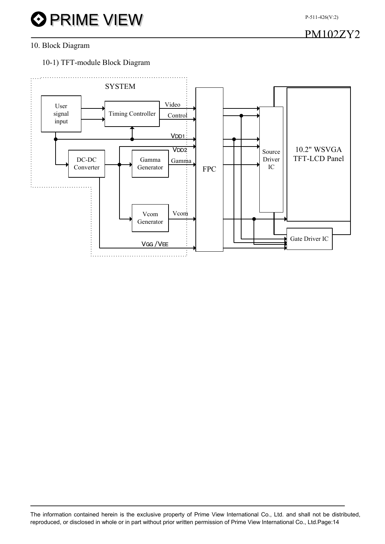PM102ZY2

#### 10. Block Diagram

10-1) TFT-module Block Diagram

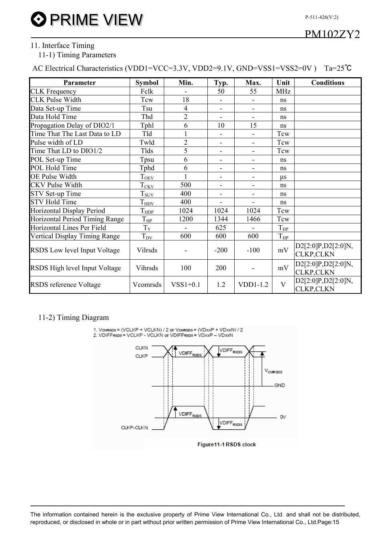#### 11. Interface Timing

#### 11-1) Timing Parameters

AC Electrical Characteristics (VDD1=VCC=3.3V, VDD2=9.1V, GND=VSS1=VSS2=0V ) Ta=25℃

| Parameter                      | <b>Symbol</b>                | Min.           | Typ.                         | Max.                     | Unit                 | <b>Conditions</b>                        |
|--------------------------------|------------------------------|----------------|------------------------------|--------------------------|----------------------|------------------------------------------|
| <b>CLK</b> Frequency           | Felk                         |                | 50                           | 55                       | <b>MHz</b>           |                                          |
| <b>CLK Pulse Width</b>         | Tcw                          | 18             | $\overline{\phantom{a}}$     | $\overline{\phantom{a}}$ | ns                   |                                          |
| Data Set-up Time               | Tsu                          | $\overline{4}$ | $\blacksquare$               | $\blacksquare$           | ns                   |                                          |
| Data Hold Time                 | Thd                          | $\overline{2}$ |                              | $\overline{\phantom{a}}$ | ns                   |                                          |
| Propagation Delay of DIO2/1    | Tphl                         | 6              | 10                           | 15                       | ns                   |                                          |
| Time That The Last Data to LD  | Tld                          |                |                              | $\overline{\phantom{a}}$ | Tcw                  |                                          |
| Pulse width of LD              | Twld                         | $\overline{2}$ | $\qquad \qquad \blacksquare$ | $\overline{\phantom{a}}$ | Tcw                  |                                          |
| Time That LD to DIO1/2         | Tlds                         | 5              | $\qquad \qquad \blacksquare$ | $\overline{\phantom{a}}$ | Tcw                  |                                          |
| POL Set-up Time                | Tpsu                         | 6              | $\overline{\phantom{a}}$     | $\overline{\phantom{a}}$ | ns                   |                                          |
| POL Hold Time                  | Tphd                         | 6              | $\overline{\phantom{a}}$     | $\overline{\phantom{a}}$ | ns                   |                                          |
| <b>OE Pulse Width</b>          | $T_{0\underline{E}V}$        |                | $\overline{\phantom{a}}$     | $\overline{\phantom{a}}$ | $\mu$ s              |                                          |
| <b>CKV</b> Pulse Width         | $T_{\underline{CKV}}$        | 500            | $\blacksquare$               | $\overline{\phantom{a}}$ | ns                   |                                          |
| STV Set-up Time                | $T_{\text{SUV}}$             | 400            | $\blacksquare$               | $\blacksquare$           | ns                   |                                          |
| <b>STV Hold Time</b>           | $T_{\hbox{\scriptsize HDV}}$ | 400            | $\overline{\phantom{0}}$     | $\blacksquare$           | ns                   |                                          |
| Horizontal Display Period      | $T_{\rm HDP}$                | 1024           | 1024                         | 1024                     | Tcw                  |                                          |
| Horizontal Period Timing Range | $T_{HP}$                     | 1200           | 1344                         | 1466                     | Tcw                  |                                          |
| Horizontal Lines Per Field     | $T_V$                        | $\blacksquare$ | 625                          | $\blacksquare$           | $T_{HP}$             |                                          |
| Vertical Display Timing Range  | $T_{\rm DV}$                 | 600            | 600                          | 600                      | $T_{\underline{HP}}$ |                                          |
| RSDS Low level Input Voltage   | Vilrsds                      |                | $-200$                       | $-100$                   | mV                   | D2[2:0]P, D2[2:0]N,<br><b>CLKP, CLKN</b> |
| RSDS High level Input Voltage  | Vihrsds                      | 100            | 200                          |                          | mV                   | D2[2:0]P,D2[2:0]N,<br><b>CLKP, CLKN</b>  |
| RSDS reference Voltage         | Vcomrsds                     | $VSS1+0.1$     | 1.2                          | VDD1-1.2                 | $\mathbf{V}$         | D2[2:0]P,D2[2:0]N,<br><b>CLKP, CLKN</b>  |

#### 11-2) Timing Diagram





The information contained herein is the exclusive property of Prime View International Co., Ltd. and shall not be distributed, reproduced, or disclosed in whole or in part without prior written permission of Prime View International Co., Ltd.Page:15

### PM102ZY2

P-511-426(V:2)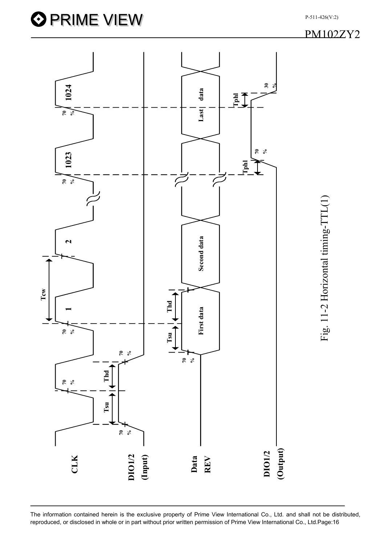

PM102ZY2

P-511-426(V:2)

Fig. 11-2 Horizontal timing-TTL(1)

The information contained herein is the exclusive property of Prime View International Co., Ltd. and shall not be distributed,

**O PRIME VIEW**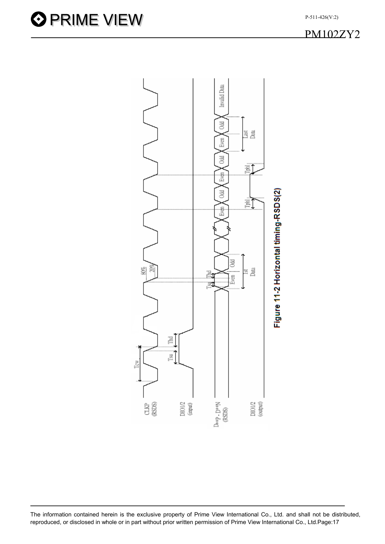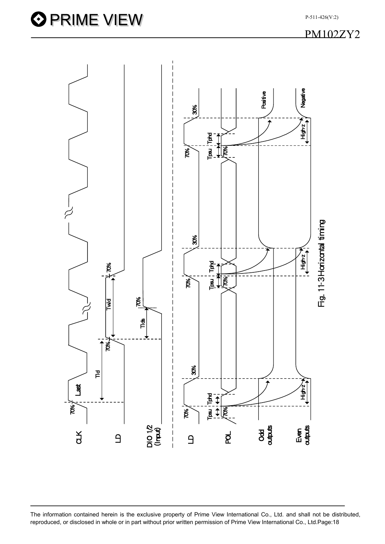P-511-426(V:2)



The information contained herein is the exclusive property of Prime View International Co., Ltd. and shall not be distributed,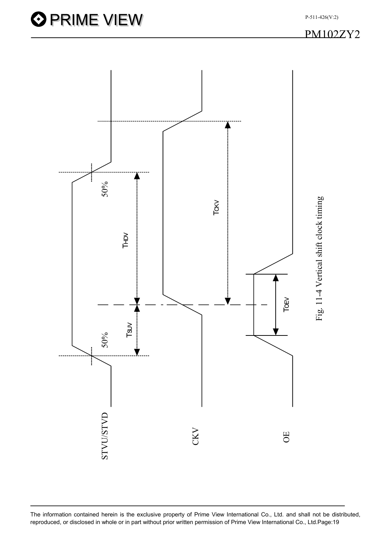

The information contained herein is the exclusive property of Prime View International Co., Ltd. and shall not be distributed,

P-511-426(V:2)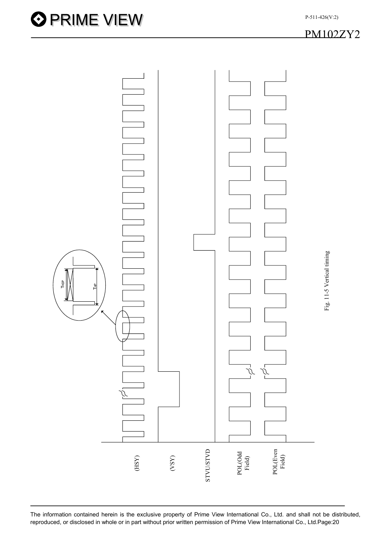

Fig. 11-5 Vertical timing

Fig. 11-5 Vertical timing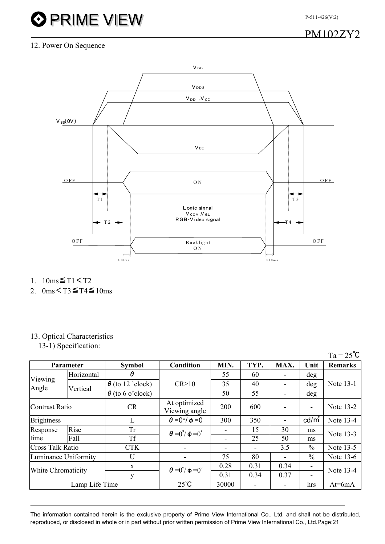P-511-426(V:2)

# **O PRIME VIEW**

PM102ZY2

#### 12. Power On Sequence



- 1. 10ms≦T1<T2
- 2.  $0 \text{ms} < T3 \leq T4 \leq 10 \text{ms}$

### 13. Optical Characteristics

13-1) Specification:

|                         |                |                         |                                           |       |      |                          |                          | $Ta = 25^{\circ}C$                                                                      |
|-------------------------|----------------|-------------------------|-------------------------------------------|-------|------|--------------------------|--------------------------|-----------------------------------------------------------------------------------------|
| Parameter               |                | <b>Symbol</b>           | <b>Condition</b>                          | MIN.  | TYP. | MAX.                     | Unit                     | <b>Remarks</b>                                                                          |
|                         | Horizontal     | θ                       |                                           | 55    | 60   | $\overline{\phantom{0}}$ | deg                      | Note 13-1<br>Note 13-2<br>Note 13-4<br>Note 13-3<br>Note 13-5<br>Note 13-6<br>Note 13-4 |
| Viewing<br>Angle        | Vertical       | $\theta$ (to 12 'clock) | $CR \ge 10$                               | 35    | 40   |                          | deg                      |                                                                                         |
|                         |                | $\theta$ (to 6 o'clock) |                                           | 50    | 55   | $\blacksquare$           | deg                      |                                                                                         |
| Contrast Ratio          |                | CR                      | At optimized<br>Viewing angle             | 200   | 600  |                          | $\overline{\phantom{a}}$ |                                                                                         |
| <b>Brightness</b>       |                | L                       | $\theta = 0^\circ/\phi = 0$               | 300   | 350  | $\overline{\phantom{a}}$ | cd/m <sup>2</sup>        |                                                                                         |
| Response                | Rise           | <b>Tr</b>               | $\theta = 0^{\degree}/\phi = 0^{\degree}$ |       | 15   | 30                       | ms                       |                                                                                         |
| time                    | Fall           | <b>Tf</b>               |                                           | -     | 25   | 50                       | ms                       |                                                                                         |
| <b>Cross Talk Ratio</b> |                | <b>CTK</b>              |                                           | -     |      | 3.5                      | $\%$                     |                                                                                         |
| Luminance Uniformity    |                | U                       |                                           | 75    | 80   | $\overline{\phantom{0}}$ | $\frac{0}{0}$            |                                                                                         |
|                         |                | X                       | $\theta = 0^{\degree}/\phi = 0^{\degree}$ | 0.28  | 0.31 | 0.34                     | ٠                        |                                                                                         |
| White Chromaticity      |                | v                       |                                           | 0.31  | 0.34 | 0.37                     | $\overline{\phantom{a}}$ |                                                                                         |
|                         | Lamp Life Time |                         | $25^{\circ}C$                             | 30000 |      | $\overline{\phantom{a}}$ | hrs                      | $At=6mA$                                                                                |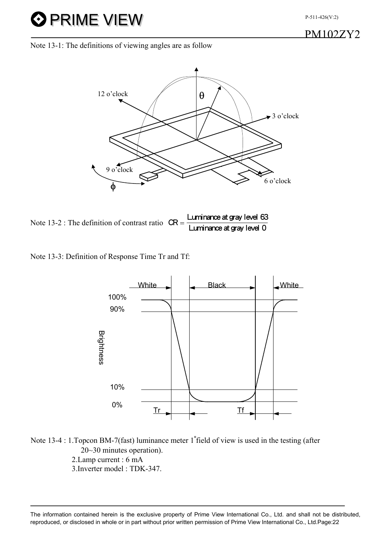## PM102ZY2

Note 13-1: The definitions of viewing angles are as follow

**O PRIME VIEW** 





Note 13-3: Definition of Response Time Tr and Tf:



Note 13-4 : 1.Topcon BM-7(fast) luminance meter 1∘field of view is used in the testing (after 20~30 minutes operation). 2.Lamp current : 6 mA 3.Inverter model : TDK-347.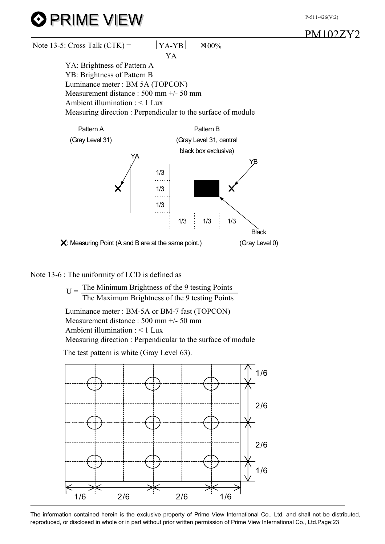P-511-426(V:2)





#### Note 13-6 : The uniformity of LCD is defined as

 $U =$  The Minimum Brightness of the 9 testing Points The Maximum Brightness of the 9 testing Points Luminance meter : BM-5A or BM-7 fast (TOPCON) Measurement distance : 500 mm +/- 50 mm Ambient illumination : < 1 Lux Measuring direction : Perpendicular to the surface of module

The test pattern is white (Gray Level 63).



The information contained herein is the exclusive property of Prime View International Co., Ltd. and shall not be distributed, reproduced, or disclosed in whole or in part without prior written permission of Prime View International Co., Ltd.Page:23

## PM102ZY2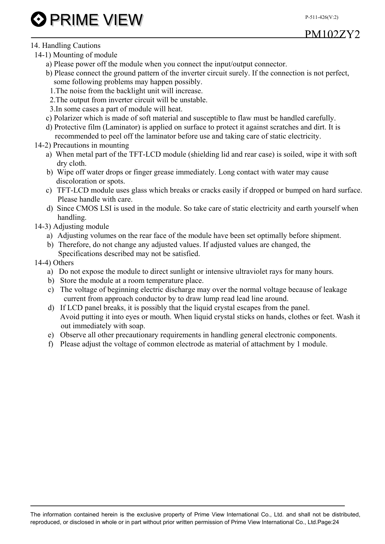P-511-426(V:2)

# **O PRIME VIEW**

PM102ZY2

### 14. Handling Cautions

- 14-1) Mounting of module
	- a) Please power off the module when you connect the input/output connector.
	- b) Please connect the ground pattern of the inverter circuit surely. If the connection is not perfect, some following problems may happen possibly.
	- 1.The noise from the backlight unit will increase.
	- 2.The output from inverter circuit will be unstable.
	- 3.In some cases a part of module will heat.
	- c) Polarizer which is made of soft material and susceptible to flaw must be handled carefully.
	- d) Protective film (Laminator) is applied on surface to protect it against scratches and dirt. It is recommended to peel off the laminator before use and taking care of static electricity.
- 14-2) Precautions in mounting
	- a) When metal part of the TFT-LCD module (shielding lid and rear case) is soiled, wipe it with soft dry cloth.
	- b) Wipe off water drops or finger grease immediately. Long contact with water may cause discoloration or spots.
	- c) TFT-LCD module uses glass which breaks or cracks easily if dropped or bumped on hard surface. Please handle with care.
	- d) Since CMOS LSI is used in the module. So take care of static electricity and earth yourself when handling.
- 14-3) Adjusting module
	- a) Adjusting volumes on the rear face of the module have been set optimally before shipment.
	- b) Therefore, do not change any adjusted values. If adjusted values are changed, the Specifications described may not be satisfied.

#### 14-4) Others

- a) Do not expose the module to direct sunlight or intensive ultraviolet rays for many hours.
- b) Store the module at a room temperature place.
- c) The voltage of beginning electric discharge may over the normal voltage because of leakage current from approach conductor by to draw lump read lead line around.
- d) If LCD panel breaks, it is possibly that the liquid crystal escapes from the panel. Avoid putting it into eyes or mouth. When liquid crystal sticks on hands, clothes or feet. Wash it out immediately with soap.
- e) Observe all other precautionary requirements in handling general electronic components.
- f) Please adjust the voltage of common electrode as material of attachment by 1 module.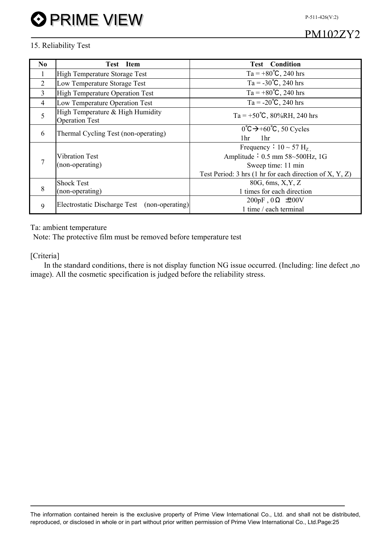P-511-426(V:2)

## PM102ZY2

#### 15. Reliability Test

| No.            | <b>Test</b><br><b>Item</b>                                | <b>Test</b> Condition                                             |  |  |  |  |  |  |
|----------------|-----------------------------------------------------------|-------------------------------------------------------------------|--|--|--|--|--|--|
|                | High Temperature Storage Test                             | Ta = $+80^{\circ}$ C, 240 hrs                                     |  |  |  |  |  |  |
| 2              | Low Temperature Storage Test                              | $Ta = -30^{\circ}C$ , 240 hrs                                     |  |  |  |  |  |  |
| 3              | <b>High Temperature Operation Test</b>                    | Ta = $+80^{\circ}$ C, 240 hrs                                     |  |  |  |  |  |  |
| $\overline{4}$ | Low Temperature Operation Test                            | $Ta = -20^{\circ}C$ , 240 hrs                                     |  |  |  |  |  |  |
| 5              | High Temperature & High Humidity<br><b>Operation Test</b> | Ta = +50°C, 80%RH, 240 hrs                                        |  |  |  |  |  |  |
| 6              | Thermal Cycling Test (non-operating)                      | $0^{\circ}C \rightarrow +60^{\circ}C$ , 50 Cycles                 |  |  |  |  |  |  |
|                |                                                           | 1 <sup>hr</sup><br>1 <sup>hr</sup>                                |  |  |  |  |  |  |
|                |                                                           | Frequency $\div$ 10 $\sim$ 57 H <sub>z</sub>                      |  |  |  |  |  |  |
| 7              | <b>Vibration Test</b>                                     | Amplitude $\div$ 0.5 mm 58~500Hz, 1G                              |  |  |  |  |  |  |
|                | (non-operating)                                           | Sweep time: 11 min                                                |  |  |  |  |  |  |
|                |                                                           | Test Period: 3 hrs $(1 \text{ hr}$ for each direction of X, Y, Z) |  |  |  |  |  |  |
|                | <b>Shock Test</b>                                         | 80G, 6ms, X, Y, Z                                                 |  |  |  |  |  |  |
| 8              | (non-operating)                                           | 1 times for each direction                                        |  |  |  |  |  |  |
|                |                                                           | 200pF, $0\Omega$ $\pm 200V$                                       |  |  |  |  |  |  |
| 9              | Electrostatic Discharge Test (non-operating)              | 1 time / each terminal                                            |  |  |  |  |  |  |

#### Ta: ambient temperature

Note: The protective film must be removed before temperature test

#### [Criteria]

In the standard conditions, there is not display function NG issue occurred. (Including: line defect ,no image). All the cosmetic specification is judged before the reliability stress.